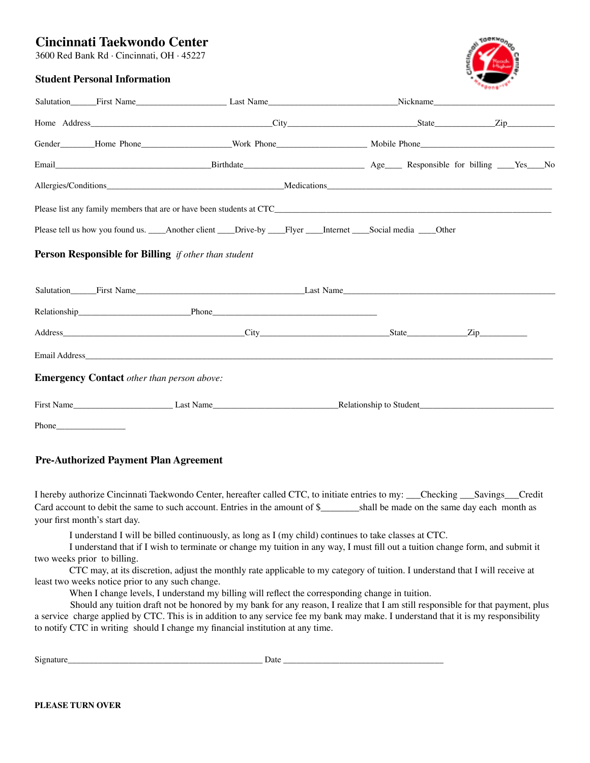# **Cincinnati Taekwondo Center**

3600 Red Bank Rd · Cincinnati, OH · 45227



## **Student Personal Information**

|                                                             |                                                   | Please tell us how you found us. Another client Drive-by Flyer Internet Social media Other                                                                                                                                     |  |  |  |  |  |  |  |  |  |
|-------------------------------------------------------------|---------------------------------------------------|--------------------------------------------------------------------------------------------------------------------------------------------------------------------------------------------------------------------------------|--|--|--|--|--|--|--|--|--|
| <b>Person Responsible for Billing</b> if other than student |                                                   |                                                                                                                                                                                                                                |  |  |  |  |  |  |  |  |  |
|                                                             |                                                   | Salutation First Name Last Name Last Name Last Name Last Name Last Name Channel Communication Channel Channel Channel Channel Channel Channel Channel Channel Channel Channel Channel Channel Channel Channel Channel Channel  |  |  |  |  |  |  |  |  |  |
|                                                             |                                                   | Relationship Phone Phone Phone Phone Phone Phone Phone Phone Phone Phone Phone Phone Phone Phone Phone Phone Phone Phone Phone Phone Phone Phone Phone Phone Phone Phone Phone Phone Phone Phone Phone Phone Phone Phone Phone |  |  |  |  |  |  |  |  |  |
|                                                             |                                                   |                                                                                                                                                                                                                                |  |  |  |  |  |  |  |  |  |
|                                                             |                                                   |                                                                                                                                                                                                                                |  |  |  |  |  |  |  |  |  |
|                                                             | <b>Emergency Contact</b> other than person above: |                                                                                                                                                                                                                                |  |  |  |  |  |  |  |  |  |
|                                                             |                                                   |                                                                                                                                                                                                                                |  |  |  |  |  |  |  |  |  |
|                                                             |                                                   |                                                                                                                                                                                                                                |  |  |  |  |  |  |  |  |  |

**Pre-Authorized Payment Plan Agreement**

I hereby authorize Cincinnati Taekwondo Center, hereafter called CTC, to initiate entries to my: \_\_\_Checking \_\_\_Savings\_\_\_Credit Card account to debit the same to such account. Entries in the amount of  $\frac{1}{2}$  shall be made on the same day each month as your first month's start day.

I understand I will be billed continuously, as long as I (my child) continues to take classes at CTC.

I understand that if I wish to terminate or change my tuition in any way, I must fill out a tuition change form, and submit it two weeks prior to billing.

CTC may, at its discretion, adjust the monthly rate applicable to my category of tuition. I understand that I will receive at least two weeks notice prior to any such change.

When I change levels, I understand my billing will reflect the corresponding change in tuition.

Should any tuition draft not be honored by my bank for any reason, I realize that I am still responsible for that payment, plus a service charge applied by CTC. This is in addition to any service fee my bank may make. I understand that it is my responsibility to notify CTC in writing should I change my financial institution at any time.

| $\sim$ | . .      |
|--------|----------|
|        | $\cdots$ |
|        |          |